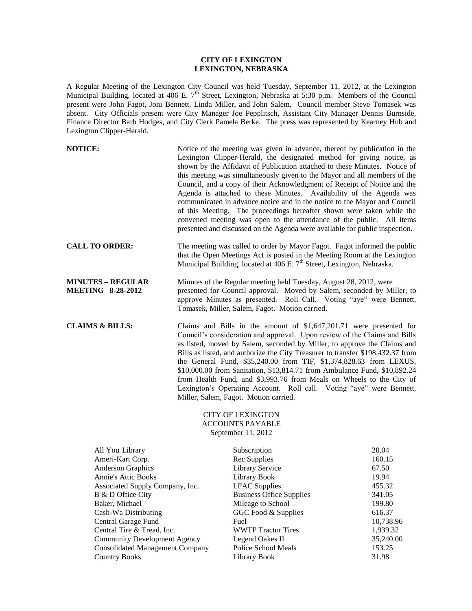## **CITY OF LEXINGTON LEXINGTON, NEBRASKA**

A Regular Meeting of the Lexington City Council was held Tuesday, September 11, 2012, at the Lexington Municipal Building, located at 406 E.  $7<sup>th</sup>$  Street, Lexington, Nebraska at 5:30 p.m. Members of the Council present were John Fagot, Joni Bennett, Linda Miller, and John Salem. Council member Steve Tomasek was absent. City Officials present were City Manager Joe Pepplitsch, Assistant City Manager Dennis Burnside, Finance Director Barb Hodges, and City Clerk Pamela Berke. The press was represented by Kearney Hub and Lexington Clipper-Herald.

| <b>NOTICE:</b>                                       | Notice of the meeting was given in advance, thereof by publication in the<br>Lexington Clipper-Herald, the designated method for giving notice, as<br>shown by the Affidavit of Publication attached to these Minutes. Notice of<br>this meeting was simultaneously given to the Mayor and all members of the<br>Council, and a copy of their Acknowledgment of Receipt of Notice and the<br>Agenda is attached to these Minutes. Availability of the Agenda was<br>communicated in advance notice and in the notice to the Mayor and Council<br>of this Meeting. The proceedings hereafter shown were taken while the<br>convened meeting was open to the attendance of the public. All items<br>presented and discussed on the Agenda were available for public inspection. |
|------------------------------------------------------|-------------------------------------------------------------------------------------------------------------------------------------------------------------------------------------------------------------------------------------------------------------------------------------------------------------------------------------------------------------------------------------------------------------------------------------------------------------------------------------------------------------------------------------------------------------------------------------------------------------------------------------------------------------------------------------------------------------------------------------------------------------------------------|
| <b>CALL TO ORDER:</b>                                | The meeting was called to order by Mayor Fagot. Fagot informed the public<br>that the Open Meetings Act is posted in the Meeting Room at the Lexington<br>Municipal Building, located at 406 E. 7 <sup>th</sup> Street, Lexington, Nebraska.                                                                                                                                                                                                                                                                                                                                                                                                                                                                                                                                  |
| <b>MINUTES - REGULAR</b><br><b>MEETING 8-28-2012</b> | Minutes of the Regular meeting held Tuesday, August 28, 2012, were<br>presented for Council approval. Moved by Salem, seconded by Miller, to<br>approve Minutes as presented. Roll Call. Voting "aye" were Bennett,<br>Tomasek, Miller, Salem, Fagot. Motion carried.                                                                                                                                                                                                                                                                                                                                                                                                                                                                                                         |
| <b>CLAIMS &amp; BILLS:</b>                           | Claims and Bills in the amount of $$1,647,201.71$ were presented for<br>Council's consideration and approval. Upon review of the Claims and Bills<br>as listed, moved by Salem, seconded by Miller, to approve the Claims and<br>Bills as listed, and authorize the City Treasurer to transfer \$198,432.37 from<br>the General Fund, \$35,240.00 from TIF, \$1,374,828.63 from LEXUS,<br>\$10,000.00 from Sanitation, \$13,814.71 from Ambulance Fund, \$10,892.24<br>from Health Fund, and \$3,993.76 from Meals on Wheels to the City of<br>Lexington's Operating Account. Roll call. Voting "aye" were Bennett,<br>Miller, Salem, Fagot. Motion carried.                                                                                                                  |

# CITY OF LEXINGTON ACCOUNTS PAYABLE September 11, 2012

|                                        |                                 | 20.04     |
|----------------------------------------|---------------------------------|-----------|
| All You Library                        | Subscription                    |           |
| Ameri-Kart Corp.                       | Rec Supplies                    | 160.15    |
| <b>Anderson Graphics</b>               | Library Service                 | 67.50     |
| Annie's Attic Books                    | Library Book                    | 19.94     |
| Associated Supply Company, Inc.        | <b>LFAC</b> Supplies            | 455.32    |
| B & D Office City                      | <b>Business Office Supplies</b> | 341.05    |
| Baker, Michael                         | Mileage to School               | 199.80    |
| Cash-Wa Distributing                   | GGC Food & Supplies             | 616.37    |
| Central Garage Fund                    | Fuel                            | 10,738.96 |
| Central Tire & Tread, Inc.             | <b>WWTP Tractor Tires</b>       | 1,939.32  |
| <b>Community Development Agency</b>    | Legend Oakes II                 | 35,240.00 |
| <b>Consolidated Management Company</b> | Police School Meals             | 153.25    |
| <b>Country Books</b>                   | Library Book                    | 31.98     |
|                                        |                                 |           |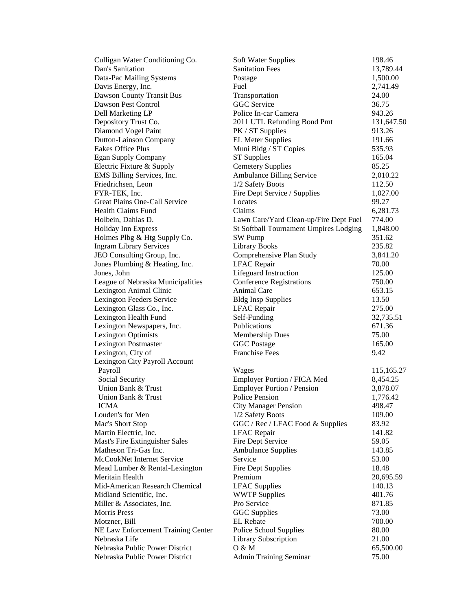| Culligan Water Conditioning Co.    | Soft Water Supplies                    | 198.46     |
|------------------------------------|----------------------------------------|------------|
| Dan's Sanitation                   | <b>Sanitation Fees</b>                 | 13,789.44  |
| Data-Pac Mailing Systems           | Postage                                | 1,500.00   |
| Davis Energy, Inc.                 | Fuel                                   | 2,741.49   |
| Dawson County Transit Bus          | Transportation                         | 24.00      |
| Dawson Pest Control                | <b>GGC</b> Service                     | 36.75      |
| Dell Marketing LP                  | Police In-car Camera                   | 943.26     |
| Depository Trust Co.               | 2011 UTL Refunding Bond Pmt            | 131,647.50 |
| Diamond Vogel Paint                | PK / ST Supplies                       | 913.26     |
| Dutton-Lainson Company             | <b>EL Meter Supplies</b>               | 191.66     |
| <b>Eakes Office Plus</b>           | Muni Bldg / ST Copies                  | 535.93     |
| Egan Supply Company                | <b>ST</b> Supplies                     | 165.04     |
| Electric Fixture & Supply          | <b>Cemetery Supplies</b>               | 85.25      |
| EMS Billing Services, Inc.         | Ambulance Billing Service              | 2,010.22   |
| Friedrichsen, Leon                 | 1/2 Safety Boots                       | 112.50     |
| FYR-TEK, Inc.                      | Fire Dept Service / Supplies           | 1,027.00   |
| Great Plains One-Call Service      | Locates                                | 99.27      |
| Health Claims Fund                 | Claims                                 | 6,281.73   |
| Holbein, Dahlas D.                 | Lawn Care/Yard Clean-up/Fire Dept Fuel | 774.00     |
| Holiday Inn Express                | St Softball Tournament Umpires Lodging | 1,848.00   |
| Holmes Plbg & Htg Supply Co.       | SW Pump                                | 351.62     |
| <b>Ingram Library Services</b>     | <b>Library Books</b>                   | 235.82     |
| JEO Consulting Group, Inc.         | Comprehensive Plan Study               | 3,841.20   |
| Jones Plumbing & Heating, Inc.     | <b>LFAC</b> Repair                     | 70.00      |
| Jones, John                        | Lifeguard Instruction                  | 125.00     |
| League of Nebraska Municipalities  | <b>Conference Registrations</b>        | 750.00     |
| Lexington Animal Clinic            | Animal Care                            | 653.15     |
| Lexington Feeders Service          | <b>Bldg Insp Supplies</b>              | 13.50      |
| Lexington Glass Co., Inc.          | <b>LFAC</b> Repair                     | 275.00     |
| Lexington Health Fund              | Self-Funding                           | 32,735.51  |
| Lexington Newspapers, Inc.         | Publications                           | 671.36     |
| <b>Lexington Optimists</b>         | <b>Membership Dues</b>                 | 75.00      |
| <b>Lexington Postmaster</b>        | <b>GGC</b> Postage                     | 165.00     |
| Lexington, City of                 | <b>Franchise Fees</b>                  | 9.42       |
| Lexington City Payroll Account     |                                        |            |
| Payroll                            | Wages                                  | 115,165.27 |
| Social Security                    | Employer Portion / FICA Med            | 8,454.25   |
| Union Bank & Trust                 | <b>Employer Portion / Pension</b>      | 3,878.07   |
| Union Bank & Trust                 | <b>Police Pension</b>                  | 1,776.42   |
| <b>ICMA</b>                        | <b>City Manager Pension</b>            | 498.47     |
| Louden's for Men                   | 1/2 Safety Boots                       | 109.00     |
| Mac's Short Stop                   | GGC / Rec / LFAC Food & Supplies       | 83.92      |
| Martin Electric, Inc.              | <b>LFAC</b> Repair                     | 141.82     |
| Mast's Fire Extinguisher Sales     | Fire Dept Service                      | 59.05      |
| Matheson Tri-Gas Inc.              | <b>Ambulance Supplies</b>              | 143.85     |
| McCookNet Internet Service         | Service                                | 53.00      |
| Mead Lumber & Rental-Lexington     | <b>Fire Dept Supplies</b>              | 18.48      |
| Meritain Health                    | Premium                                | 20,695.59  |
| Mid-American Research Chemical     | <b>LFAC</b> Supplies                   | 140.13     |
| Midland Scientific, Inc.           | <b>WWTP Supplies</b>                   | 401.76     |
| Miller & Associates, Inc.          | Pro Service                            | 871.85     |
| <b>Morris Press</b>                | <b>GGC</b> Supplies                    | 73.00      |
| Motzner, Bill                      | <b>EL</b> Rebate                       | 700.00     |
| NE Law Enforcement Training Center | Police School Supplies                 | 80.00      |
| Nebraska Life                      | Library Subscription                   | 21.00      |
| Nebraska Public Power District     | 0 & M                                  | 65,500.00  |
| Nebraska Public Power District     | <b>Admin Training Seminar</b>          | 75.00      |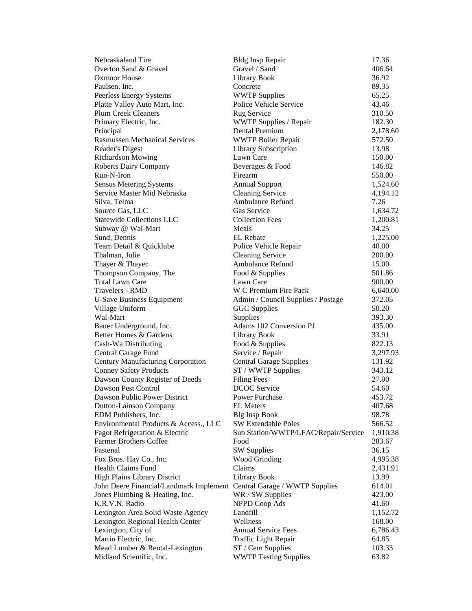| Nebraskaland Tire                                                      | <b>Bldg Insp Repair</b>              | 17.36    |
|------------------------------------------------------------------------|--------------------------------------|----------|
| Overton Sand & Gravel                                                  | Gravel / Sand                        | 406.64   |
| <b>Oxmoor House</b>                                                    | Library Book                         | 36.92    |
| Paulsen, Inc.                                                          | Concrete                             | 89.35    |
| Peerless Energy Systems                                                | <b>WWTP Supplies</b>                 | 65.25    |
| Platte Valley Auto Mart, Inc.                                          | Police Vehicle Service               | 43.46    |
| <b>Plum Creek Cleaners</b>                                             | Rug Service                          | 310.50   |
| Primary Electric, Inc.                                                 | WWTP Supplies / Repair               | 182.30   |
| Principal                                                              | Dental Premium                       | 2,178.60 |
| <b>Rasmussen Mechanical Services</b>                                   | <b>WWTP Boiler Repair</b>            | 572.50   |
| Reader's Digest                                                        | Library Subscription                 | 13.98    |
| Richardson Mowing                                                      | Lawn Care                            | 150.00   |
| <b>Roberts Dairy Company</b>                                           | Beverages & Food                     | 146.82   |
| Run-N-Iron                                                             | Firearm                              | 550.00   |
| <b>Sensus Metering Systems</b>                                         | <b>Annual Support</b>                | 1,524.60 |
| Service Master Mid Nebraska                                            | <b>Cleaning Service</b>              | 4,194.12 |
| Silva, Telma                                                           | Ambulance Refund                     | 7.26     |
| Source Gas, LLC                                                        | Gas Service                          | 1,634.72 |
| <b>Statewide Collections LLC</b>                                       | <b>Collection Fees</b>               | 1,200.81 |
| Subway @ Wal-Mart                                                      | Meals                                | 34.25    |
| Sund, Dennis                                                           | <b>EL</b> Rebate                     | 1,225.00 |
| Team Detail & Quicklube                                                | Police Vehicle Repair                | 40.00    |
| Thalman, Julie                                                         | <b>Cleaning Service</b>              | 200.00   |
| Thayer & Thayer                                                        | Ambulance Refund                     | 15.00    |
| Thompson Company, The                                                  | Food & Supplies                      | 501.86   |
| <b>Total Lawn Care</b>                                                 | Lawn Care                            | 900.00   |
| Travelers - RMD                                                        | W C Premium Fire Pack                | 6,640.00 |
| <b>U-Save Business Equipment</b>                                       | Admin / Council Supplies / Postage   | 372.05   |
| Village Uniform                                                        | <b>GGC</b> Supplies                  | 50.20    |
| Wal-Mart                                                               | Supplies                             | 393.30   |
| Bauer Underground, Inc.                                                | Adams 102 Conversion PJ              | 435.00   |
| Better Homes & Gardens                                                 | <b>Library Book</b>                  | 33.91    |
| Cash-Wa Distributing                                                   | Food & Supplies                      | 822.13   |
| Central Garage Fund                                                    | Service / Repair                     | 3,297.93 |
| Century Manufacturing Corporation                                      | <b>Central Garage Supplies</b>       | 131.92   |
| <b>Conney Safety Products</b>                                          | ST / WWTP Supplies                   | 343.12   |
| Dawson County Register of Deeds                                        | <b>Filing Fees</b>                   | 27.00    |
| Dawson Pest Control                                                    | <b>DCOC</b> Service                  | 54.60    |
| Dawson Public Power District                                           | <b>Power Purchase</b>                | 453.72   |
| Dutton-Lainson Company                                                 | <b>EL Meters</b>                     | 407.68   |
| EDM Publishers, Inc.                                                   | <b>Blg Insp Book</b>                 | 98.78    |
| Environmental Products & Access., LLC                                  | <b>SW Extendable Poles</b>           | 566.52   |
| Fagot Refrigeration & Electric                                         | Sub Station/WWTP/LFAC/Repair/Service | 1,910.38 |
| <b>Farmer Brothers Coffee</b>                                          | Food                                 | 283.67   |
| Fastenal                                                               | <b>SW Supplies</b>                   | 36.15    |
| Fox Bros. Hay Co., Inc.                                                | <b>Wood Grinding</b>                 | 4,995.38 |
| <b>Health Claims Fund</b>                                              | Claims                               | 2,431.91 |
| <b>High Plains Library District</b>                                    | Library Book                         | 13.99    |
| John Deere Financial/Landmark Implement Central Garage / WWTP Supplies |                                      | 614.01   |
| Jones Plumbing & Heating, Inc.                                         | WR / SW Supplies                     | 423.00   |
| K.R.V.N. Radio                                                         | NPPD Coop Ads                        | 41.60    |
| Lexington Area Solid Waste Agency                                      | Landfill                             | 1,152.72 |
| Lexington Regional Health Center                                       | Wellness                             | 168.00   |
| Lexington, City of                                                     | <b>Annual Service Fees</b>           | 6,786.43 |
| Martin Electric, Inc.                                                  | Traffic Light Repair                 | 64.85    |
| Mead Lumber & Rental-Lexington                                         | ST / Cem Supplies                    | 103.33   |
| Midland Scientific, Inc.                                               | <b>WWTP Testing Supplies</b>         | 63.82    |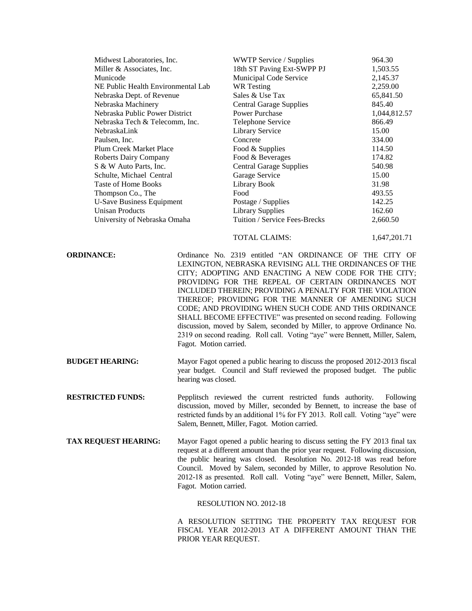|                                    | Midwest Laboratories, Inc. |                                                                                                                                                                                                                                                                                                                                                                                                                                                                                                                                                                                  | 964.30       |
|------------------------------------|----------------------------|----------------------------------------------------------------------------------------------------------------------------------------------------------------------------------------------------------------------------------------------------------------------------------------------------------------------------------------------------------------------------------------------------------------------------------------------------------------------------------------------------------------------------------------------------------------------------------|--------------|
| Miller & Associates, Inc.          |                            | 18th ST Paving Ext-SWPP PJ                                                                                                                                                                                                                                                                                                                                                                                                                                                                                                                                                       | 1,503.55     |
| Municode                           |                            | Municipal Code Service                                                                                                                                                                                                                                                                                                                                                                                                                                                                                                                                                           | 2,145.37     |
| NE Public Health Environmental Lab |                            | <b>WR</b> Testing                                                                                                                                                                                                                                                                                                                                                                                                                                                                                                                                                                | 2,259.00     |
| Nebraska Dept. of Revenue          |                            | Sales & Use Tax                                                                                                                                                                                                                                                                                                                                                                                                                                                                                                                                                                  | 65,841.50    |
| Nebraska Machinery                 |                            | <b>Central Garage Supplies</b>                                                                                                                                                                                                                                                                                                                                                                                                                                                                                                                                                   | 845.40       |
| Nebraska Public Power District     |                            | <b>Power Purchase</b>                                                                                                                                                                                                                                                                                                                                                                                                                                                                                                                                                            | 1,044,812.57 |
| Nebraska Tech & Telecomm, Inc.     |                            | Telephone Service                                                                                                                                                                                                                                                                                                                                                                                                                                                                                                                                                                | 866.49       |
| NebraskaLink                       |                            | Library Service                                                                                                                                                                                                                                                                                                                                                                                                                                                                                                                                                                  | 15.00        |
| Paulsen, Inc.                      |                            | Concrete                                                                                                                                                                                                                                                                                                                                                                                                                                                                                                                                                                         | 334.00       |
| Plum Creek Market Place            |                            | Food & Supplies                                                                                                                                                                                                                                                                                                                                                                                                                                                                                                                                                                  | 114.50       |
| <b>Roberts Dairy Company</b>       |                            | Food & Beverages                                                                                                                                                                                                                                                                                                                                                                                                                                                                                                                                                                 | 174.82       |
| S & W Auto Parts, Inc.             |                            | <b>Central Garage Supplies</b>                                                                                                                                                                                                                                                                                                                                                                                                                                                                                                                                                   | 540.98       |
| Schulte, Michael Central           |                            | Garage Service                                                                                                                                                                                                                                                                                                                                                                                                                                                                                                                                                                   | 15.00        |
| Taste of Home Books                |                            | Library Book                                                                                                                                                                                                                                                                                                                                                                                                                                                                                                                                                                     | 31.98        |
| Thompson Co., The                  |                            | Food                                                                                                                                                                                                                                                                                                                                                                                                                                                                                                                                                                             | 493.55       |
| <b>U-Save Business Equipment</b>   |                            | Postage / Supplies                                                                                                                                                                                                                                                                                                                                                                                                                                                                                                                                                               | 142.25       |
| <b>Unisan Products</b>             |                            | <b>Library Supplies</b>                                                                                                                                                                                                                                                                                                                                                                                                                                                                                                                                                          | 162.60       |
| University of Nebraska Omaha       |                            | Tuition / Service Fees-Brecks                                                                                                                                                                                                                                                                                                                                                                                                                                                                                                                                                    | 2,660.50     |
|                                    |                            |                                                                                                                                                                                                                                                                                                                                                                                                                                                                                                                                                                                  |              |
|                                    |                            | <b>TOTAL CLAIMS:</b>                                                                                                                                                                                                                                                                                                                                                                                                                                                                                                                                                             | 1,647,201.71 |
|                                    | Fagot. Motion carried.     | LEXINGTON, NEBRASKA REVISING ALL THE ORDINANCES OF THE<br>CITY; ADOPTING AND ENACTING A NEW CODE FOR THE CITY;<br>PROVIDING FOR THE REPEAL OF CERTAIN ORDINANCES NOT<br>INCLUDED THEREIN; PROVIDING A PENALTY FOR THE VIOLATION<br>THEREOF; PROVIDING FOR THE MANNER OF AMENDING SUCH<br>CODE; AND PROVIDING WHEN SUCH CODE AND THIS ORDINANCE<br>SHALL BECOME EFFECTIVE" was presented on second reading. Following<br>discussion, moved by Salem, seconded by Miller, to approve Ordinance No.<br>2319 on second reading. Roll call. Voting "aye" were Bennett, Miller, Salem, |              |
| <b>BUDGET HEARING:</b>             | hearing was closed.        | Mayor Fagot opened a public hearing to discuss the proposed 2012-2013 fiscal<br>year budget. Council and Staff reviewed the proposed budget. The public                                                                                                                                                                                                                                                                                                                                                                                                                          |              |
| <b>RESTRICTED FUNDS:</b>           |                            | Pepplitsch reviewed the current restricted funds authority.<br>discussion, moved by Miller, seconded by Bennett, to increase the base of<br>restricted funds by an additional 1% for FY 2013. Roll call. Voting "aye" were<br>Salem, Bennett, Miller, Fagot. Motion carried.                                                                                                                                                                                                                                                                                                     | Following    |
| <b>TAX REQUEST HEARING:</b>        | Fagot. Motion carried.     | Mayor Fagot opened a public hearing to discuss setting the FY 2013 final tax<br>request at a different amount than the prior year request. Following discussion,<br>the public hearing was closed. Resolution No. 2012-18 was read before<br>Council. Moved by Salem, seconded by Miller, to approve Resolution No.<br>2012-18 as presented. Roll call. Voting "aye" were Bennett, Miller, Salem,                                                                                                                                                                                |              |
|                                    |                            | RESOLUTION NO. 2012-18                                                                                                                                                                                                                                                                                                                                                                                                                                                                                                                                                           |              |
|                                    | PRIOR YEAR REQUEST.        | A RESOLUTION SETTING THE PROPERTY TAX REQUEST FOR<br>FISCAL YEAR 2012-2013 AT A DIFFERENT AMOUNT THAN THE                                                                                                                                                                                                                                                                                                                                                                                                                                                                        |              |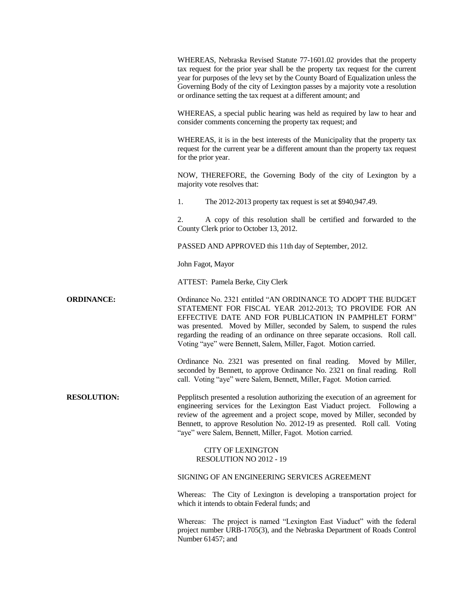WHEREAS, Nebraska Revised Statute 77-1601.02 provides that the property tax request for the prior year shall be the property tax request for the current year for purposes of the levy set by the County Board of Equalization unless the Governing Body of the city of Lexington passes by a majority vote a resolution or ordinance setting the tax request at a different amount; and WHEREAS, a special public hearing was held as required by law to hear and consider comments concerning the property tax request; and WHEREAS, it is in the best interests of the Municipality that the property tax request for the current year be a different amount than the property tax request for the prior year. NOW, THEREFORE, the Governing Body of the city of Lexington by a majority vote resolves that: 1. The 2012-2013 property tax request is set at \$940,947.49. 2. A copy of this resolution shall be certified and forwarded to the County Clerk prior to October 13, 2012. PASSED AND APPROVED this 11th day of September, 2012. John Fagot, Mayor ATTEST: Pamela Berke, City Clerk **ORDINANCE:** Ordinance No. 2321 entitled "AN ORDINANCE TO ADOPT THE BUDGET STATEMENT FOR FISCAL YEAR 2012-2013; TO PROVIDE FOR AN EFFECTIVE DATE AND FOR PUBLICATION IN PAMPHLET FORM" was presented. Moved by Miller, seconded by Salem, to suspend the rules regarding the reading of an ordinance on three separate occasions. Roll call. Voting "aye" were Bennett, Salem, Miller, Fagot. Motion carried. Ordinance No. 2321 was presented on final reading. Moved by Miller, seconded by Bennett, to approve Ordinance No. 2321 on final reading. Roll call. Voting "aye" were Salem, Bennett, Miller, Fagot. Motion carried. **RESOLUTION:** Pepplitsch presented a resolution authorizing the execution of an agreement for engineering services for the Lexington East Viaduct project. Following a review of the agreement and a project scope, moved by Miller, seconded by Bennett, to approve Resolution No. 2012-19 as presented. Roll call. Voting "aye" were Salem, Bennett, Miller, Fagot. Motion carried. CITY OF LEXINGTON RESOLUTION NO 2012 - 19 SIGNING OF AN ENGINEERING SERVICES AGREEMENT Whereas: The City of Lexington is developing a transportation project for which it intends to obtain Federal funds; and Whereas: The project is named "Lexington East Viaduct" with the federal project number URB-1705(3), and the Nebraska Department of Roads Control Number 61457; and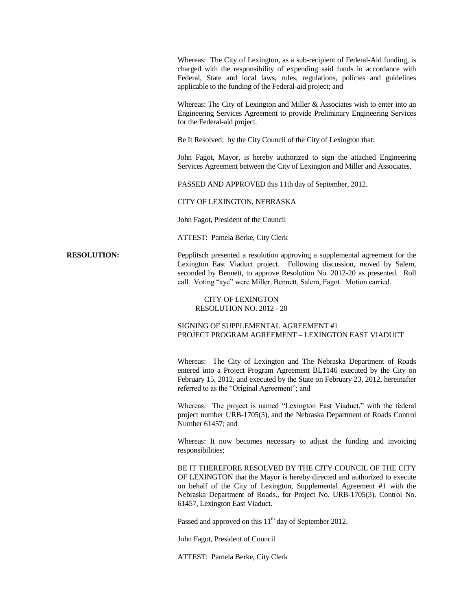Whereas: The City of Lexington, as a sub-recipient of Federal-Aid funding, is charged with the responsibility of expending said funds in accordance with Federal, State and local laws, rules, regulations, policies and guidelines applicable to the funding of the Federal-aid project; and

Whereas: The City of Lexington and Miller & Associates wish to enter into an Engineering Services Agreement to provide Preliminary Engineering Services for the Federal-aid project.

Be It Resolved: by the City Council of the City of Lexington that:

John Fagot, Mayor, is hereby authorized to sign the attached Engineering Services Agreement between the City of Lexington and Miller and Associates.

PASSED AND APPROVED this 11th day of September, 2012.

#### CITY OF LEXINGTON, NEBRASKA

John Fagot, President of the Council

ATTEST: Pamela Berke, City Clerk

**RESOLUTION:** Pepplitsch presented a resolution approving a supplemental agreement for the Lexington East Viaduct project. Following discussion, moved by Salem, seconded by Bennett, to approve Resolution No. 2012-20 as presented. Roll call. Voting "aye" were Miller, Bennett, Salem, Fagot. Motion carried.

### CITY OF LEXINGTON RESOLUTION NO. 2012 - 20

## SIGNING OF SUPPLEMENTAL AGREEMENT #1 PROJECT PROGRAM AGREEMENT – LEXINGTON EAST VIADUCT

Whereas: The City of Lexington and The Nebraska Department of Roads entered into a Project Program Agreement BL1146 executed by the City on February 15, 2012, and executed by the State on February 23, 2012, hereinafter referred to as the "Original Agreement"; and

Whereas: The project is named "Lexington East Viaduct," with the federal project number URB-1705(3), and the Nebraska Department of Roads Control Number 61457; and

Whereas: It now becomes necessary to adjust the funding and invoicing responsibilities;

BE IT THEREFORE RESOLVED BY THE CITY COUNCIL OF THE CITY OF LEXINGTON that the Mayor is hereby directed and authorized to execute on behalf of the City of Lexington, Supplemental Agreement #1 with the Nebraska Department of Roads., for Project No. URB-1705(3), Control No. 61457, Lexington East Viaduct.

Passed and approved on this  $11<sup>th</sup>$  day of September 2012.

John Fagot, President of Council

ATTEST: Pamela Berke, City Clerk